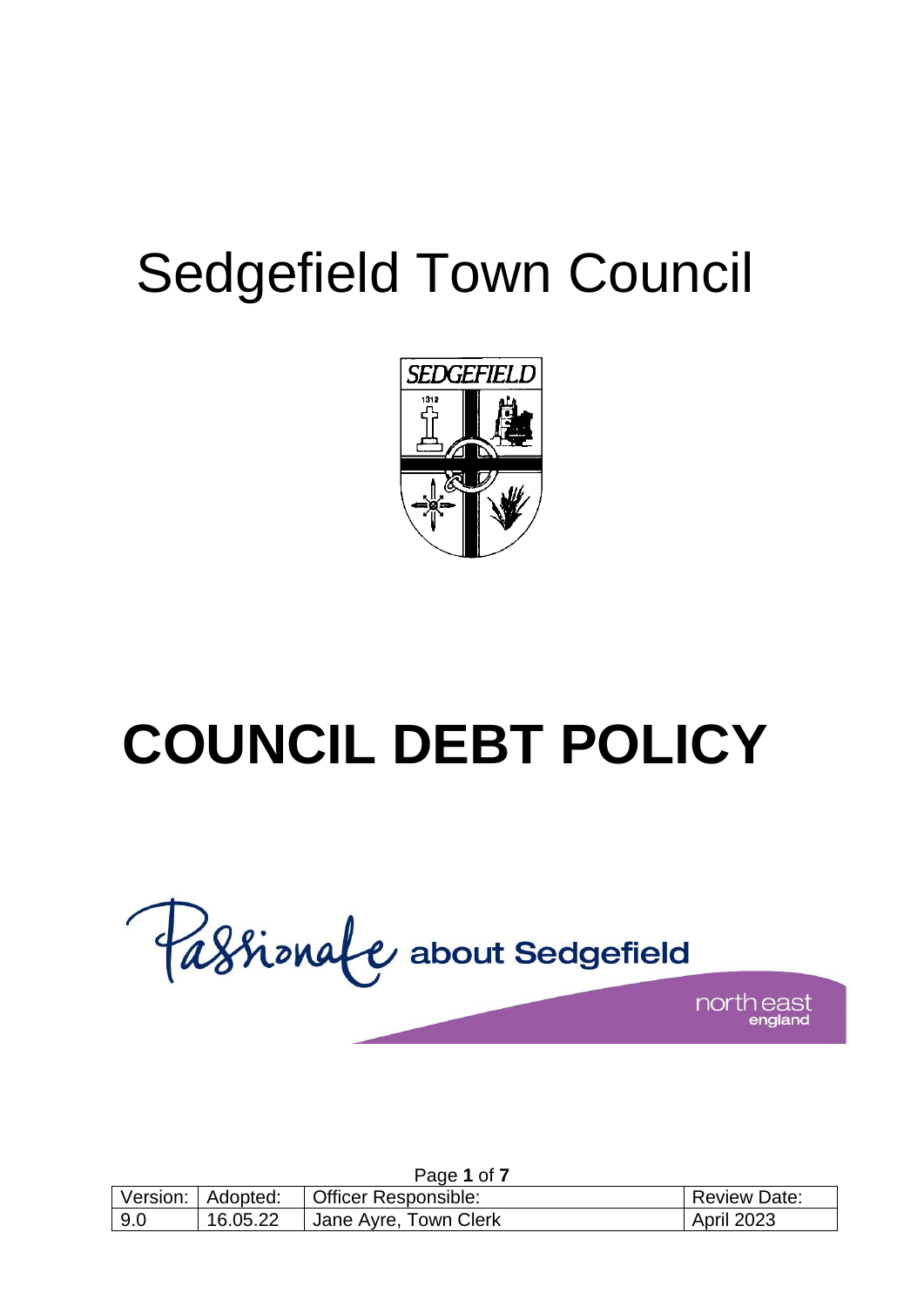## Sedgefield Town Council



# **COUNCIL DEBT POLICY**



Page **1** of **7** Version: Adopted: Officer Responsible: Review Date: 9.0 | 16.05.22 | Jane Ayre, Town Clerk | April 2023

naland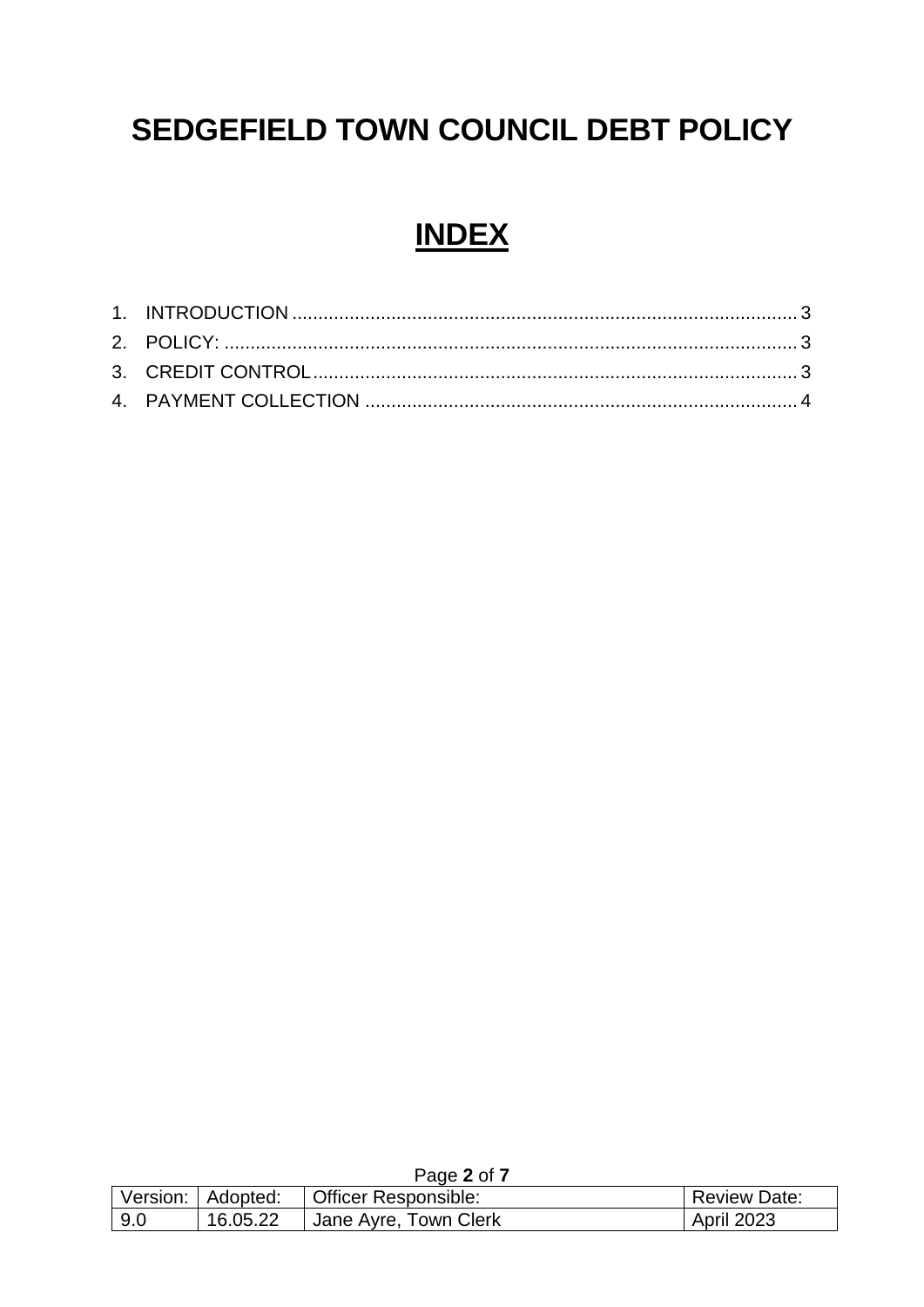## **SEDGEFIELD TOWN COUNCIL DEBT POLICY**

### **INDEX**

| Faye <b>Z</b> UI T |                     |                       |              |
|--------------------|---------------------|-----------------------|--------------|
|                    | Version:   Adopted: | Officer Responsible:  | Review Date: |
| 9.0                | 16.05.22            | Jane Ayre, Town Clerk | April 2023   |

Page **2** of **7**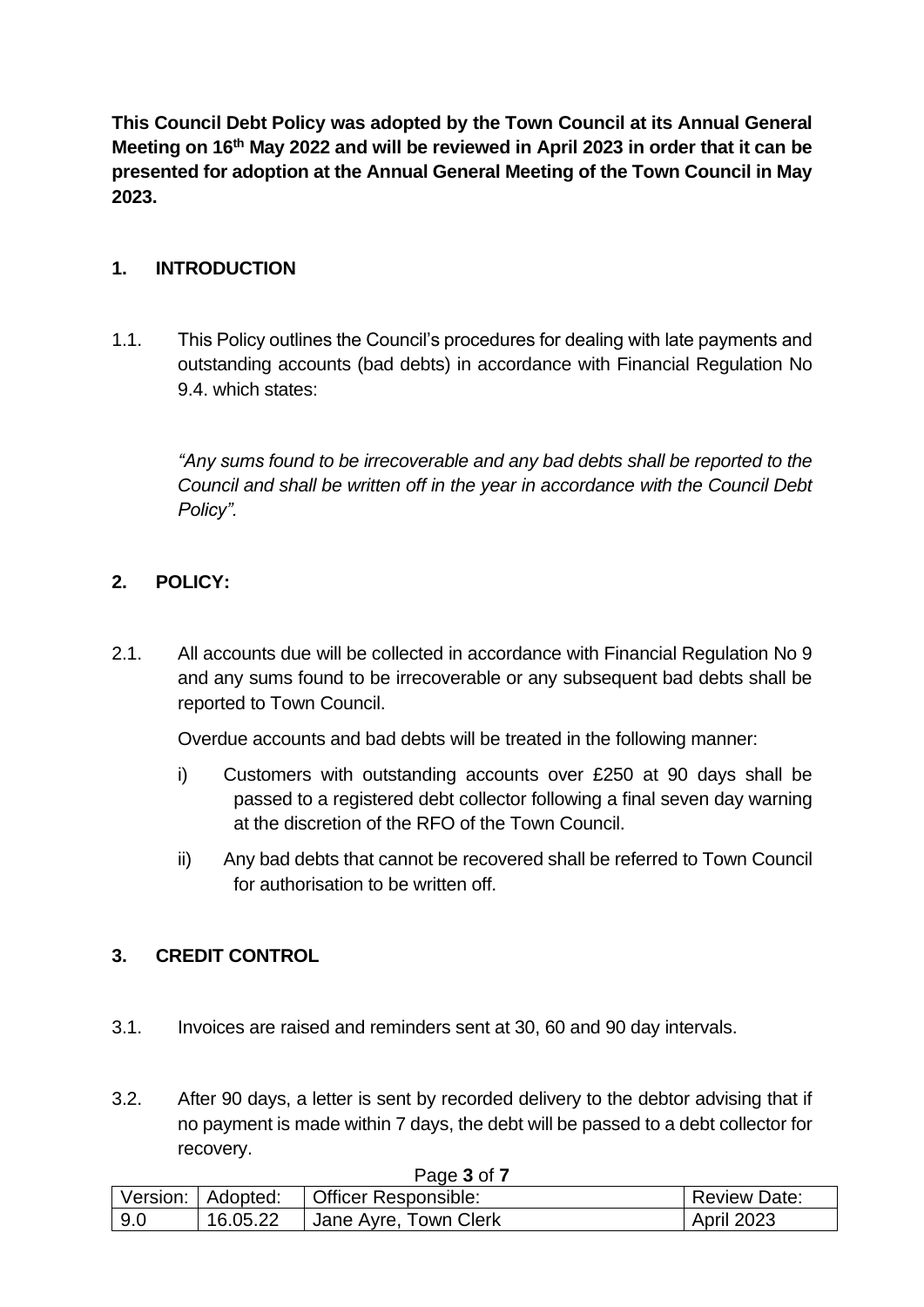**This Council Debt Policy was adopted by the Town Council at its Annual General Meeting on 16th May 2022 and will be reviewed in April 2023 in order that it can be presented for adoption at the Annual General Meeting of the Town Council in May 2023.** 

#### <span id="page-2-0"></span>**1. INTRODUCTION**

1.1. This Policy outlines the Council's procedures for dealing with late payments and outstanding accounts (bad debts) in accordance with Financial Regulation No 9.4. which states:

*"Any sums found to be irrecoverable and any bad debts shall be reported to the Council and shall be written off in the year in accordance with the Council Debt Policy".* 

#### <span id="page-2-1"></span>**2. POLICY:**

2.1. All accounts due will be collected in accordance with Financial Regulation No 9 and any sums found to be irrecoverable or any subsequent bad debts shall be reported to Town Council.

Overdue accounts and bad debts will be treated in the following manner:

- i) Customers with outstanding accounts over £250 at 90 days shall be passed to a registered debt collector following a final seven day warning at the discretion of the RFO of the Town Council.
- ii) Any bad debts that cannot be recovered shall be referred to Town Council for authorisation to be written off.

#### <span id="page-2-2"></span>**3. CREDIT CONTROL**

- 3.1. Invoices are raised and reminders sent at 30, 60 and 90 day intervals.
- 3.2. After 90 days, a letter is sent by recorded delivery to the debtor advising that if no payment is made within 7 days, the debt will be passed to a debt collector for recovery.

| ι αγ <del>ο</del> υ υι ι |                     |                       |                     |  |
|--------------------------|---------------------|-----------------------|---------------------|--|
|                          | Version:   Adopted: | Officer Responsible:  | <b>Review Date:</b> |  |
| 9.0                      | 16.05.22            | Jane Ayre, Town Clerk | <b>April 2023</b>   |  |

Page **3** of **7**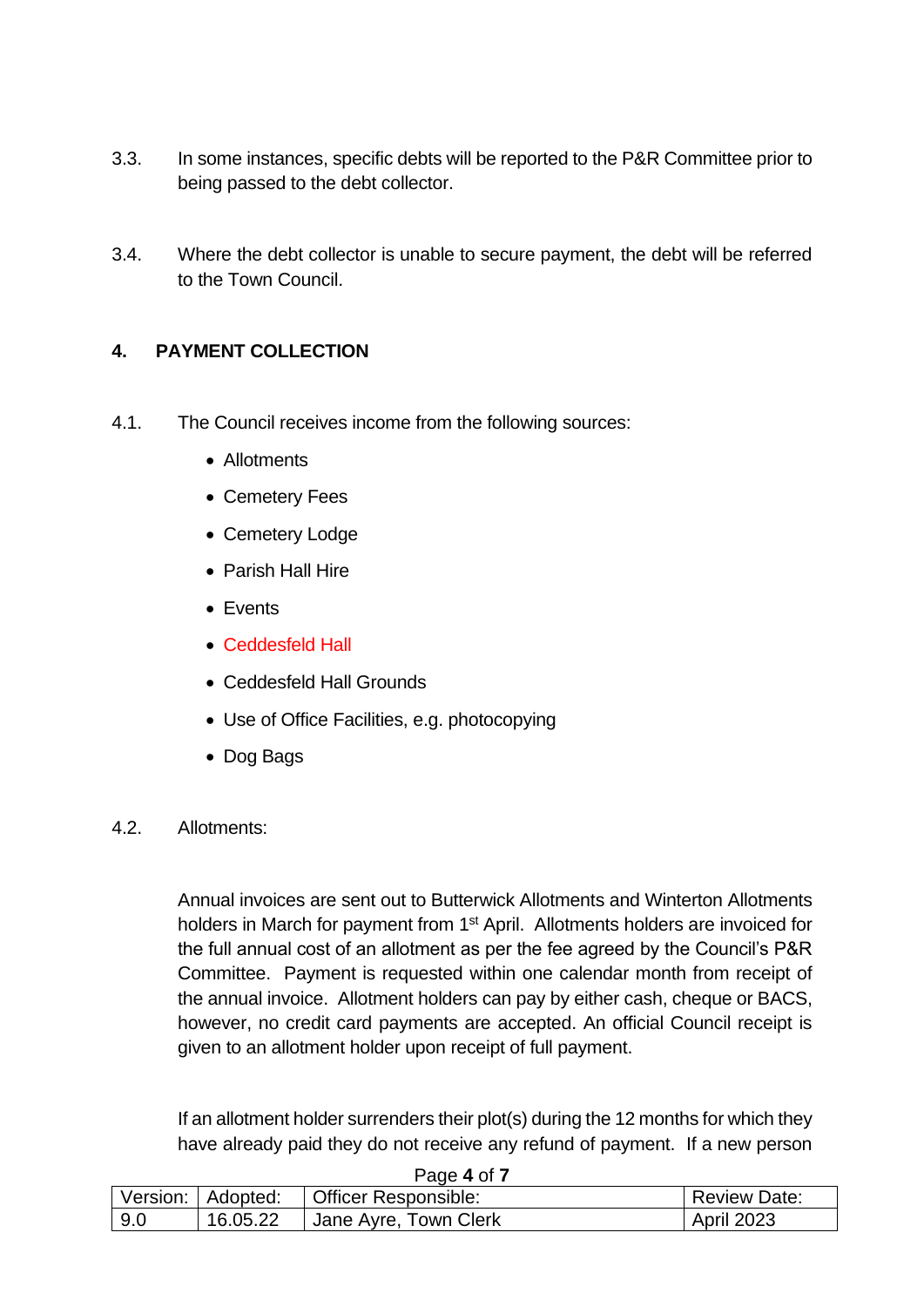- 3.3. In some instances, specific debts will be reported to the P&R Committee prior to being passed to the debt collector.
- 3.4. Where the debt collector is unable to secure payment, the debt will be referred to the Town Council.

#### <span id="page-3-0"></span>**4. PAYMENT COLLECTION**

- 4.1. The Council receives income from the following sources:
	- Allotments
	- Cemetery Fees
	- Cemetery Lodge
	- Parish Hall Hire
	- Events
	- Ceddesfeld Hall
	- Ceddesfeld Hall Grounds
	- Use of Office Facilities, e.g. photocopying
	- Dog Bags
- 4.2. Allotments:

Annual invoices are sent out to Butterwick Allotments and Winterton Allotments holders in March for payment from 1<sup>st</sup> April. Allotments holders are invoiced for the full annual cost of an allotment as per the fee agreed by the Council's P&R Committee. Payment is requested within one calendar month from receipt of the annual invoice. Allotment holders can pay by either cash, cheque or BACS, however, no credit card payments are accepted. An official Council receipt is given to an allotment holder upon receipt of full payment.

If an allotment holder surrenders their plot(s) during the 12 months for which they have already paid they do not receive any refund of payment. If a new person

|       | Version: Adopted: | Officer Responsible:    | <b>Review Date:</b> |
|-------|-------------------|-------------------------|---------------------|
| l 9.0 | 16.05.22          | I Jane Ayre, Town Clerk | <b>April 2023</b>   |

Page **4** of **7**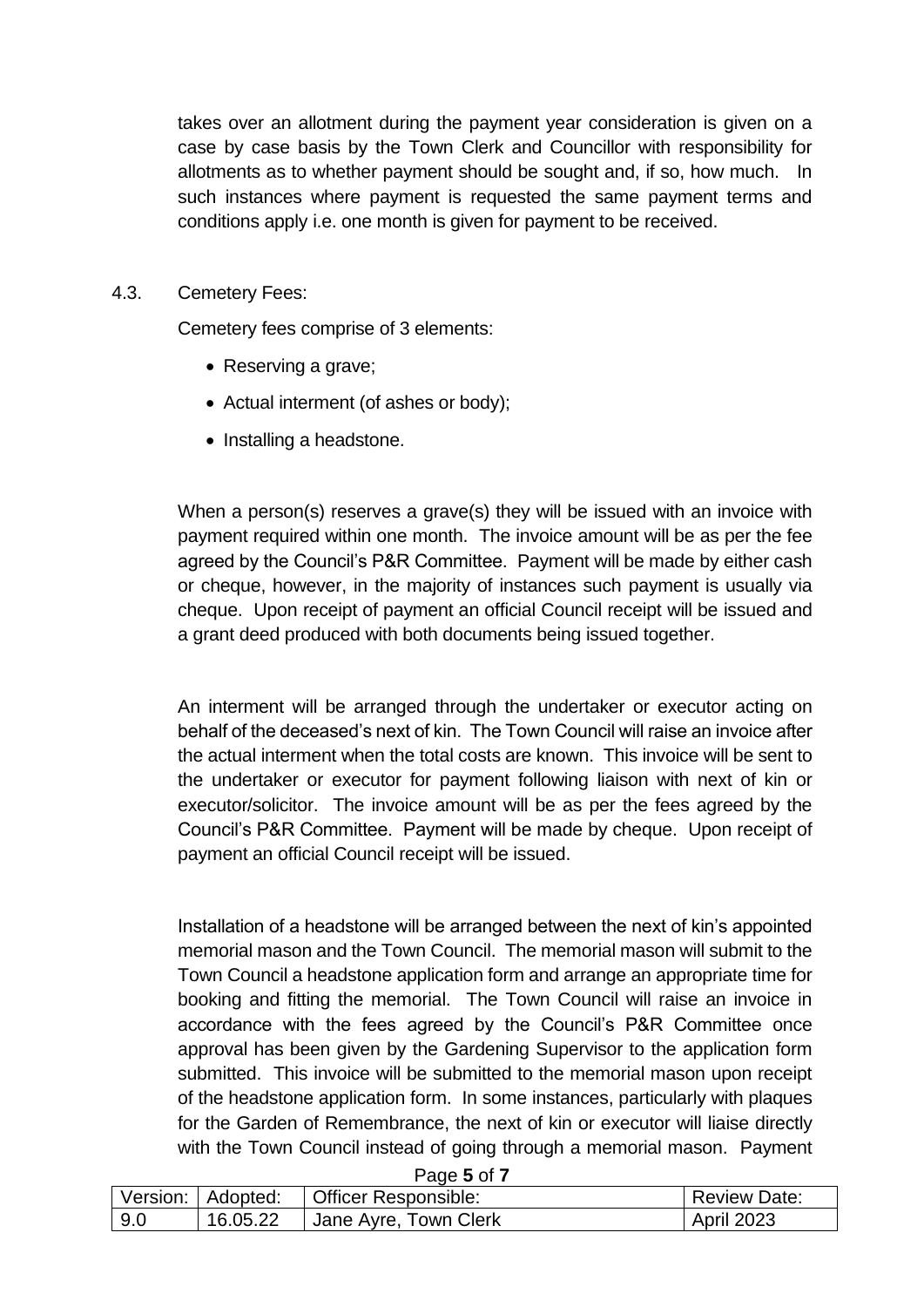takes over an allotment during the payment year consideration is given on a case by case basis by the Town Clerk and Councillor with responsibility for allotments as to whether payment should be sought and, if so, how much. In such instances where payment is requested the same payment terms and conditions apply i.e. one month is given for payment to be received.

#### 4.3. Cemetery Fees:

Cemetery fees comprise of 3 elements:

- Reserving a grave;
- Actual interment (of ashes or body);
- Installing a headstone.

When a person(s) reserves a grave(s) they will be issued with an invoice with payment required within one month. The invoice amount will be as per the fee agreed by the Council's P&R Committee. Payment will be made by either cash or cheque, however, in the majority of instances such payment is usually via cheque. Upon receipt of payment an official Council receipt will be issued and a grant deed produced with both documents being issued together.

An interment will be arranged through the undertaker or executor acting on behalf of the deceased's next of kin. The Town Council will raise an invoice after the actual interment when the total costs are known. This invoice will be sent to the undertaker or executor for payment following liaison with next of kin or executor/solicitor. The invoice amount will be as per the fees agreed by the Council's P&R Committee. Payment will be made by cheque. Upon receipt of payment an official Council receipt will be issued.

Installation of a headstone will be arranged between the next of kin's appointed memorial mason and the Town Council. The memorial mason will submit to the Town Council a headstone application form and arrange an appropriate time for booking and fitting the memorial. The Town Council will raise an invoice in accordance with the fees agreed by the Council's P&R Committee once approval has been given by the Gardening Supervisor to the application form submitted. This invoice will be submitted to the memorial mason upon receipt of the headstone application form. In some instances, particularly with plaques for the Garden of Remembrance, the next of kin or executor will liaise directly with the Town Council instead of going through a memorial mason. Payment

| .   |          |                                          |                     |  |
|-----|----------|------------------------------------------|---------------------|--|
|     |          | Version: Adopted:   Officer Responsible: | <b>Review Date:</b> |  |
| 9.0 | 16.05.22 | Jane Ayre, Town Clerk                    | <b>April 2023</b>   |  |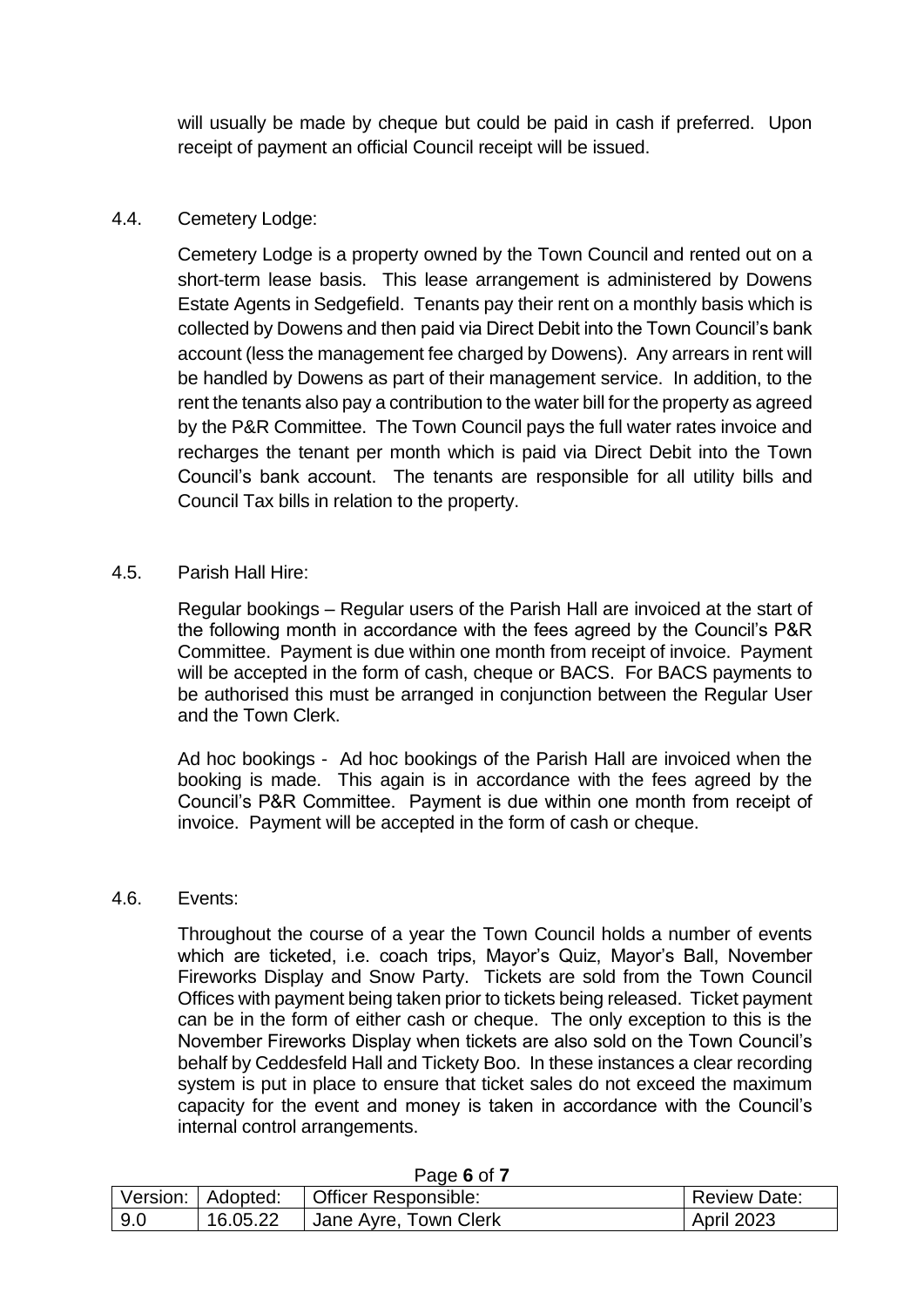will usually be made by cheque but could be paid in cash if preferred. Upon receipt of payment an official Council receipt will be issued.

#### 4.4. Cemetery Lodge:

Cemetery Lodge is a property owned by the Town Council and rented out on a short-term lease basis. This lease arrangement is administered by Dowens Estate Agents in Sedgefield. Tenants pay their rent on a monthly basis which is collected by Dowens and then paid via Direct Debit into the Town Council's bank account (less the management fee charged by Dowens). Any arrears in rent will be handled by Dowens as part of their management service. In addition, to the rent the tenants also pay a contribution to the water bill for the property as agreed by the P&R Committee. The Town Council pays the full water rates invoice and recharges the tenant per month which is paid via Direct Debit into the Town Council's bank account. The tenants are responsible for all utility bills and Council Tax bills in relation to the property.

4.5. Parish Hall Hire:

Regular bookings – Regular users of the Parish Hall are invoiced at the start of the following month in accordance with the fees agreed by the Council's P&R Committee. Payment is due within one month from receipt of invoice. Payment will be accepted in the form of cash, cheque or BACS. For BACS payments to be authorised this must be arranged in conjunction between the Regular User and the Town Clerk.

Ad hoc bookings - Ad hoc bookings of the Parish Hall are invoiced when the booking is made. This again is in accordance with the fees agreed by the Council's P&R Committee. Payment is due within one month from receipt of invoice. Payment will be accepted in the form of cash or cheque.

#### 4.6. Events:

Throughout the course of a year the Town Council holds a number of events which are ticketed, i.e. coach trips, Mayor's Quiz, Mayor's Ball, November Fireworks Display and Snow Party. Tickets are sold from the Town Council Offices with payment being taken prior to tickets being released. Ticket payment can be in the form of either cash or cheque. The only exception to this is the November Fireworks Display when tickets are also sold on the Town Council's behalf by Ceddesfeld Hall and Tickety Boo. In these instances a clear recording system is put in place to ensure that ticket sales do not exceed the maximum capacity for the event and money is taken in accordance with the Council's internal control arrangements.

|     | Version:   Adopted: | Officer Responsible:    | <b>Review Date:</b> |
|-----|---------------------|-------------------------|---------------------|
| 9.0 | 16.05.22            | ' Jane Ayre, Town Clerk | <b>April 2023</b>   |

| Page 6 of 7 |  |  |
|-------------|--|--|
|             |  |  |